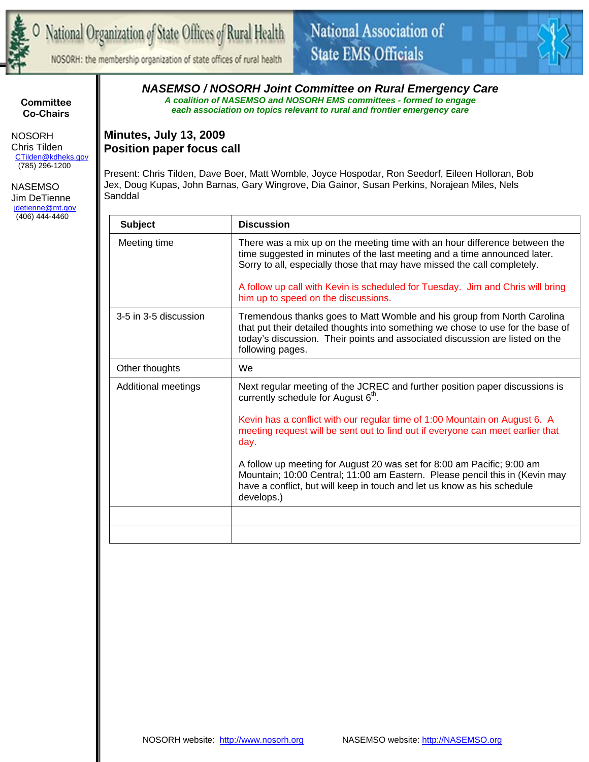

NOSORH: the membership organization of state offices of rural health



**Committee Co-Chairs** 

 NOSORH Chris Tilden CTilden@kdheks.gov (785) 296-1200

 NASEMSO Jim DeTienne jdetienne@mt.gov (406) 444-4460

*NASEMSO / NOSORH Joint Committee on Rural Emergency Care A coalition of NASEMSO and NOSORH EMS committees - formed to engage each association on topics relevant to rural and frontier emergency care* 

### **Minutes, July 13, 2009 Position paper focus call**

Present: Chris Tilden, Dave Boer, Matt Womble, Joyce Hospodar, Ron Seedorf, Eileen Holloran, Bob Jex, Doug Kupas, John Barnas, Gary Wingrove, Dia Gainor, Susan Perkins, Norajean Miles, Nels **Sanddal** 

| <b>Subject</b>        | <b>Discussion</b>                                                                                                                                                                                                                                              |
|-----------------------|----------------------------------------------------------------------------------------------------------------------------------------------------------------------------------------------------------------------------------------------------------------|
| Meeting time          | There was a mix up on the meeting time with an hour difference between the<br>time suggested in minutes of the last meeting and a time announced later.<br>Sorry to all, especially those that may have missed the call completely.                            |
|                       | A follow up call with Kevin is scheduled for Tuesday. Jim and Chris will bring<br>him up to speed on the discussions.                                                                                                                                          |
| 3-5 in 3-5 discussion | Tremendous thanks goes to Matt Womble and his group from North Carolina<br>that put their detailed thoughts into something we chose to use for the base of<br>today's discussion. Their points and associated discussion are listed on the<br>following pages. |
| Other thoughts        | We.                                                                                                                                                                                                                                                            |
| Additional meetings   | Next regular meeting of the JCREC and further position paper discussions is<br>currently schedule for August 6 <sup>th</sup> .                                                                                                                                 |
|                       | Kevin has a conflict with our regular time of 1:00 Mountain on August 6. A<br>meeting request will be sent out to find out if everyone can meet earlier that<br>day.                                                                                           |
|                       | A follow up meeting for August 20 was set for 8:00 am Pacific; 9:00 am<br>Mountain; 10:00 Central; 11:00 am Eastern. Please pencil this in (Kevin may<br>have a conflict, but will keep in touch and let us know as his schedule<br>develops.)                 |
|                       |                                                                                                                                                                                                                                                                |
|                       |                                                                                                                                                                                                                                                                |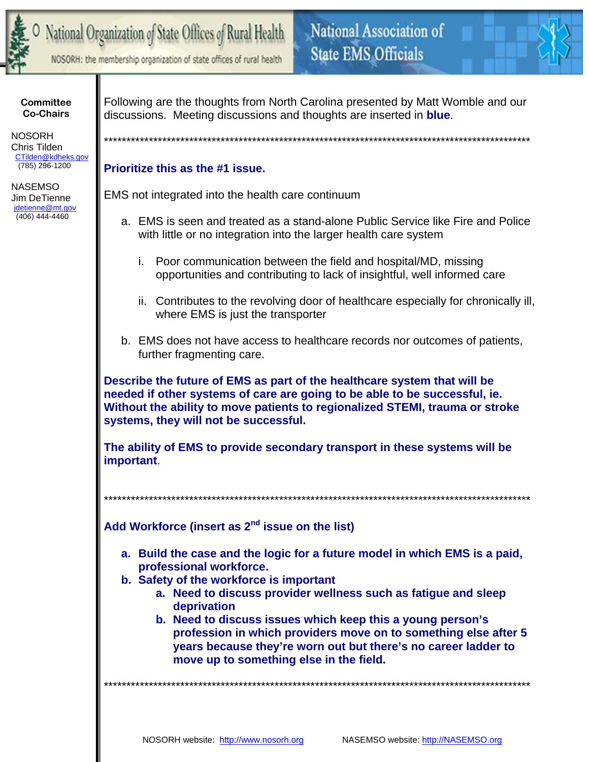

# National Organization of State Offices of Rural Health

NOSORH: the membership organization of state offices of rural health

**Committee Co-Chairs** 

**NOSORH** Chris Tilden CTilden@kdheks.gov (785) 296-1200

**NASEMSO** Jim DeTienne jdetienne@mt.gov  $(406)$  444-4460

Following are the thoughts from North Carolina presented by Matt Womble and our discussions. Meeting discussions and thoughts are inserted in **blue**.

National Association of

**State EMS Officials** 

## Prioritize this as the #1 issue.

EMS not integrated into the health care continuum

- a. EMS is seen and treated as a stand-alone Public Service like Fire and Police with little or no integration into the larger health care system
	- Poor communication between the field and hospital/MD, missing i. opportunities and contributing to lack of insightful, well informed care
	- ii. Contributes to the revolving door of healthcare especially for chronically ill, where EMS is just the transporter
- b. EMS does not have access to healthcare records nor outcomes of patients, further fragmenting care.

Describe the future of EMS as part of the healthcare system that will be needed if other systems of care are going to be able to be successful, ie. Without the ability to move patients to regionalized STEMI, trauma or stroke systems, they will not be successful.

The ability of EMS to provide secondary transport in these systems will be important.

Add Workforce (insert as 2<sup>nd</sup> issue on the list)

- a. Build the case and the logic for a future model in which EMS is a paid, professional workforce.
- b. Safety of the workforce is important
	- a. Need to discuss provider wellness such as fatigue and sleep deprivation
	- b. Need to discuss issues which keep this a young person's profession in which providers move on to something else after 5 years because they're worn out but there's no career ladder to move up to something else in the field.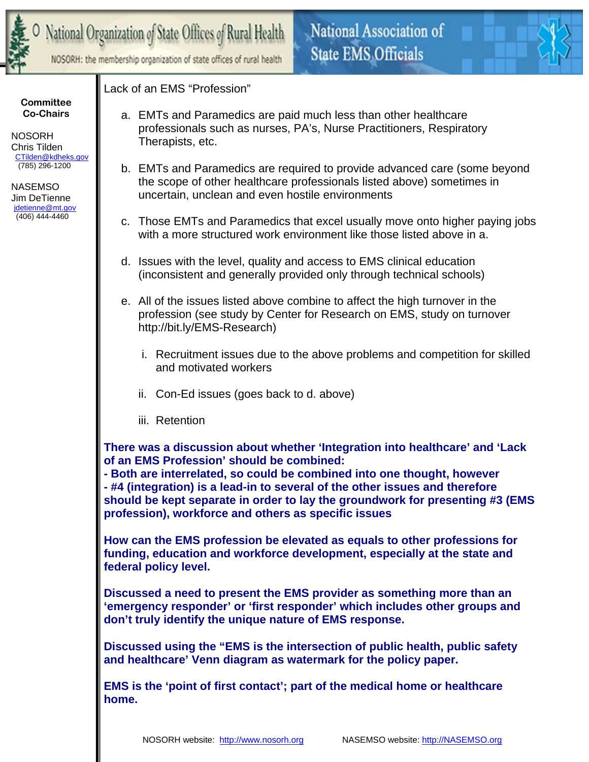

NOSORH: the membership organization of state offices of rural health



#### **Committee Co-Chairs**

 NOSORH Chris Tilden CTilden@kdheks.gov (785) 296-1200

 NASEMSO Jim DeTienne jdetienne@mt.gov (406) 444-4460

## Lack of an EMS "Profession"

- a. EMTs and Paramedics are paid much less than other healthcare professionals such as nurses, PA's, Nurse Practitioners, Respiratory Therapists, etc.
- b. EMTs and Paramedics are required to provide advanced care (some beyond the scope of other healthcare professionals listed above) sometimes in uncertain, unclean and even hostile environments
- c. Those EMTs and Paramedics that excel usually move onto higher paying jobs with a more structured work environment like those listed above in a.
- d. Issues with the level, quality and access to EMS clinical education (inconsistent and generally provided only through technical schools)
- e. All of the issues listed above combine to affect the high turnover in the profession (see study by Center for Research on EMS, study on turnover http://bit.ly/EMS-Research)
	- i. Recruitment issues due to the above problems and competition for skilled and motivated workers
	- ii. Con-Ed issues (goes back to d. above)
	- iii. Retention

**There was a discussion about whether 'Integration into healthcare' and 'Lack of an EMS Profession' should be combined:** 

**- Both are interrelated, so could be combined into one thought, however** 

**- #4 (integration) is a lead-in to several of the other issues and therefore should be kept separate in order to lay the groundwork for presenting #3 (EMS profession), workforce and others as specific issues** 

**How can the EMS profession be elevated as equals to other professions for funding, education and workforce development, especially at the state and federal policy level.** 

**Discussed a need to present the EMS provider as something more than an 'emergency responder' or 'first responder' which includes other groups and don't truly identify the unique nature of EMS response.** 

**Discussed using the "EMS is the intersection of public health, public safety and healthcare' Venn diagram as watermark for the policy paper.** 

**EMS is the 'point of first contact'; part of the medical home or healthcare home.**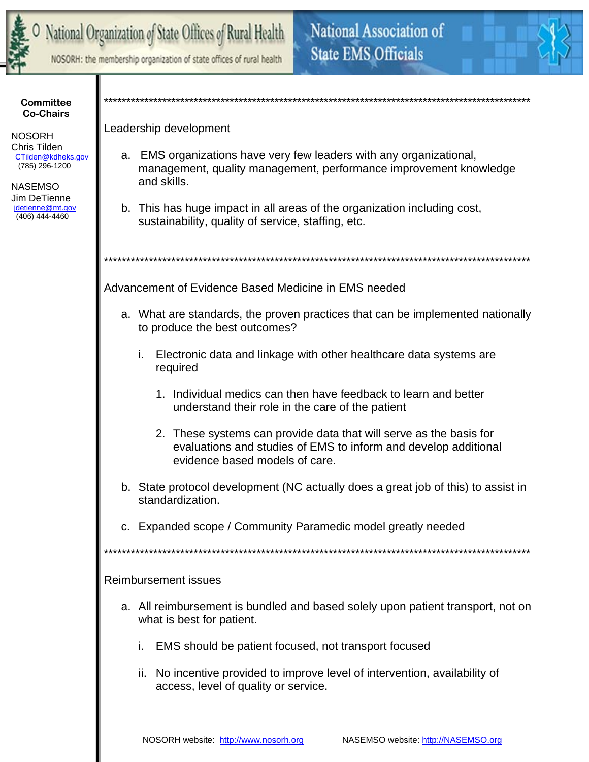

NOSORH: the membership organization of state offices of rural health



**Committee Co-Chairs** 

**NOSORH** Chris Tilden CTilden@kdheks.gov (785) 296-1200

**NASEMSO** Jim DeTienne jdetienne@mt.gov  $(406)$  444-4460

Leadership development

- a. EMS organizations have very few leaders with any organizational, management, quality management, performance improvement knowledge and skills.
- b. This has huge impact in all areas of the organization including cost, sustainability, quality of service, staffing, etc.

Advancement of Evidence Based Medicine in EMS needed

- a. What are standards, the proven practices that can be implemented nationally to produce the best outcomes?
	- Electronic data and linkage with other healthcare data systems are i. required
		- 1. Individual medics can then have feedback to learn and better understand their role in the care of the patient
		- 2. These systems can provide data that will serve as the basis for evaluations and studies of EMS to inform and develop additional evidence based models of care.
- b. State protocol development (NC actually does a great job of this) to assist in standardization.
- c. Expanded scope / Community Paramedic model greatly needed

**Reimbursement issues** 

- a. All reimbursement is bundled and based solely upon patient transport, not on what is best for patient.
	- i. EMS should be patient focused, not transport focused
	- ii. No incentive provided to improve level of intervention, availability of access, level of quality or service.